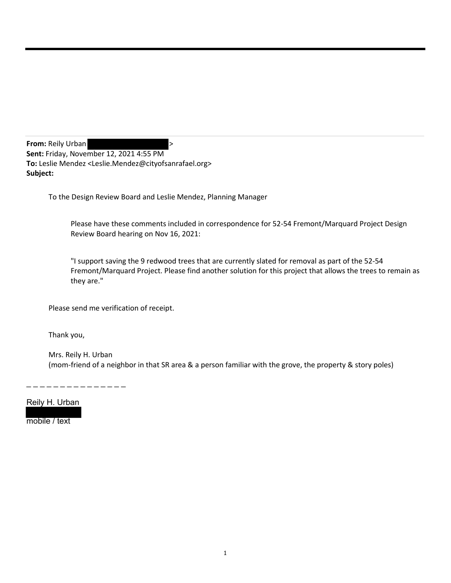**From:** Reily Urban **by Service 2018 Sent:** Friday, November 12, 2021 4:55 PM **To:** Leslie Mendez <Leslie.Mendez@cityofsanrafael.org> **Subject:**

To the Design Review Board and Leslie Mendez, Planning Manager

Please have these comments included in correspondence for 52-54 Fremont/Marquard Project Design Review Board hearing on Nov 16, 2021:

"I support saving the 9 redwood trees that are currently slated for removal as part of the 52-54 Fremont/Marquard Project. Please find another solution for this project that allows the trees to remain as they are."

Please send me verification of receipt.

Thank you,

Mrs. Reily H. Urban (mom-friend of a neighbor in that SR area & a person familiar with the grove, the property & story poles)

. \_ \_ \_ \_ \_ \_ \_ \_ \_ \_ \_ \_ \_

Reily H. Urban

mobile / text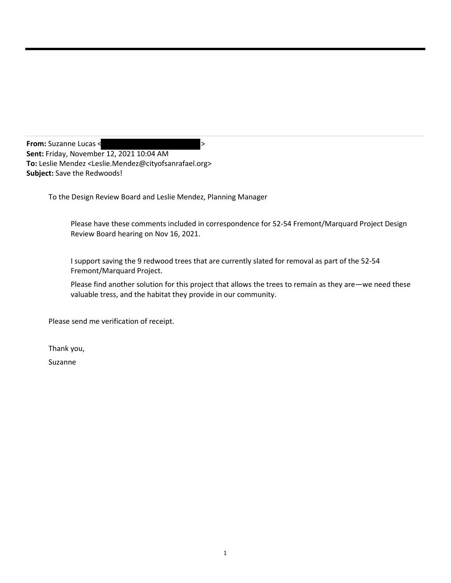**From:** Suzanne Lucas <  $\sim$ **Sent:** Friday, November 12, 2021 10:04 AM **To:** Leslie Mendez <Leslie.Mendez@cityofsanrafael.org> **Subject:** Save the Redwoods!

To the Design Review Board and Leslie Mendez, Planning Manager

Please have these comments included in correspondence for 52-54 Fremont/Marquard Project Design Review Board hearing on Nov 16, 2021.

I support saving the 9 redwood trees that are currently slated for removal as part of the 52-54 Fremont/Marquard Project.

Please find another solution for this project that allows the trees to remain as they are—we need these valuable tress, and the habitat they provide in our community.

Please send me verification of receipt.

Thank you,

Suzanne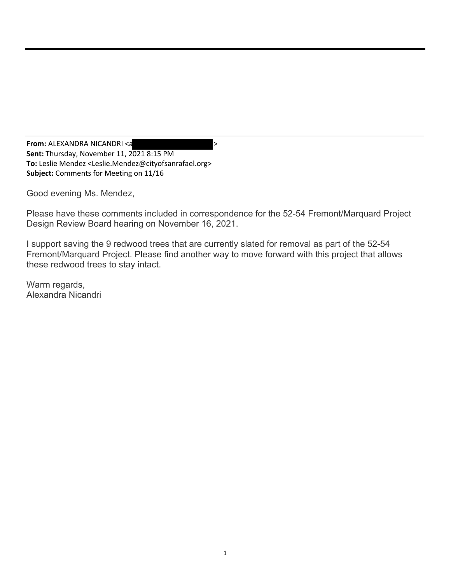**From: ALEXANDRA NICANDRI <a Sent:** Thursday, November 11, 2021 8:15 PM **To:** Leslie Mendez <Leslie.Mendez@cityofsanrafael.org> **Subject:** Comments for Meeting on 11/16

Good evening Ms. Mendez,

Please have these comments included in correspondence for the 52-54 Fremont/Marquard Project Design Review Board hearing on November 16, 2021.

I support saving the 9 redwood trees that are currently slated for removal as part of the 52-54 Fremont/Marquard Project. Please find another way to move forward with this project that allows these redwood trees to stay intact.

Warm regards, Alexandra Nicandri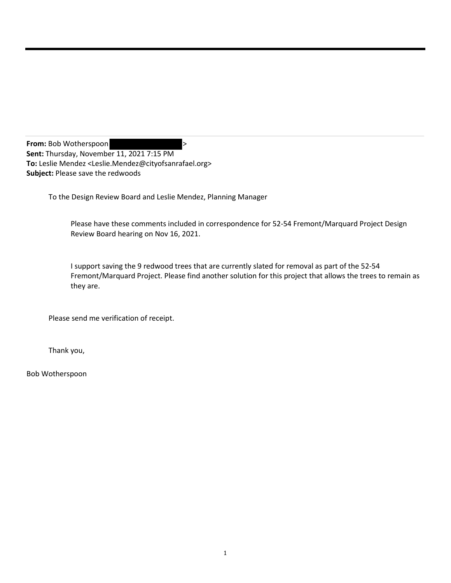**From:** Bob Wotherspoon  $\rightarrow$ **Sent:** Thursday, November 11, 2021 7:15 PM **To:** Leslie Mendez <Leslie.Mendez@cityofsanrafael.org> **Subject:** Please save the redwoods

To the Design Review Board and Leslie Mendez, Planning Manager

Please have these comments included in correspondence for 52-54 Fremont/Marquard Project Design Review Board hearing on Nov 16, 2021.

I support saving the 9 redwood trees that are currently slated for removal as part of the 52-54 Fremont/Marquard Project. Please find another solution for this project that allows the trees to remain as they are.

Please send me verification of receipt.

Thank you,

Bob Wotherspoon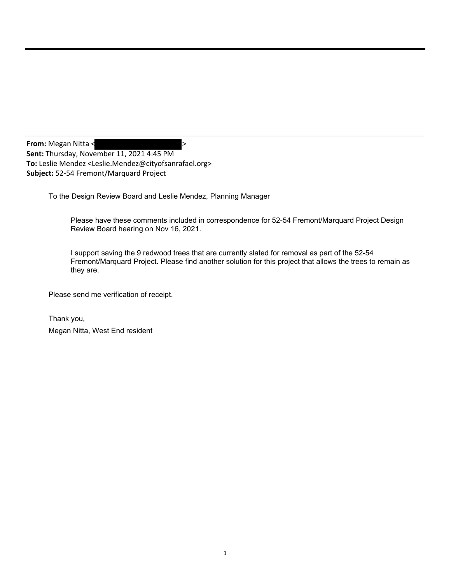**From:** Megan Nitta < > **Sent:** Thursday, November 11, 2021 4:45 PM **To:** Leslie Mendez <Leslie.Mendez@cityofsanrafael.org> **Subject:** 52-54 Fremont/Marquard Project

To the Design Review Board and Leslie Mendez, Planning Manager

Please have these comments included in correspondence for 52-54 Fremont/Marquard Project Design Review Board hearing on Nov 16, 2021.

I support saving the 9 redwood trees that are currently slated for removal as part of the 52-54 Fremont/Marquard Project. Please find another solution for this project that allows the trees to remain as they are.

Please send me verification of receipt.

Thank you, Megan Nitta, West End resident